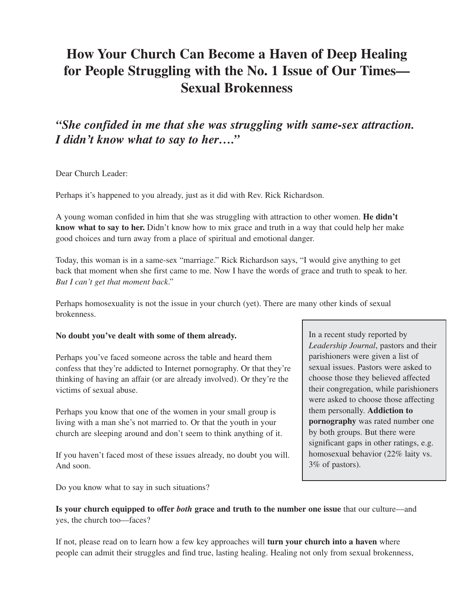# **How Your Church Can Become a Haven of Deep Healing for People Struggling with the No. 1 Issue of Our Times— Sexual Brokenness**

*"She confided in me that she was struggling with same-sex attraction. I didn't know what to say to her…."*

Dear Church Leader:

Perhaps it's happened to you already, just as it did with Rev. Rick Richardson.

A young woman confided in him that she was struggling with attraction to other women. **He didn't know what to say to her.** Didn't know how to mix grace and truth in a way that could help her make good choices and turn away from a place of spiritual and emotional danger.

Today, this woman is in a same-sex "marriage." Rick Richardson says, "I would give anything to get back that moment when she first came to me. Now I have the words of grace and truth to speak to her. *But I can't get that moment back*."

Perhaps homosexuality is not the issue in your church (yet). There are many other kinds of sexual brokenness.

#### **No doubt you've dealt with some of them already.**

Perhaps you've faced someone across the table and heard them confess that they're addicted to Internet pornography. Or that they're thinking of having an affair (or are already involved). Or they're the victims of sexual abuse.

Perhaps you know that one of the women in your small group is living with a man she's not married to. Or that the youth in your church are sleeping around and don't seem to think anything of it.

If you haven't faced most of these issues already, no doubt you will. And soon.

Do you know what to say in such situations?

In a recent study reported by *Leadership Journal*, pastors and their parishioners were given a list of sexual issues. Pastors were asked to choose those they believed affected their congregation, while parishioners were asked to choose those affecting them personally. **Addiction to pornography** was rated number one by both groups. But there were significant gaps in other ratings, e.g. homosexual behavior (22% laity vs. 3% of pastors).

**Is your church equipped to offer** *both* **grace and truth to the number one issue** that our culture—and yes, the church too—faces?

If not, please read on to learn how a few key approaches will **turn your church into a haven** where people can admit their struggles and find true, lasting healing. Healing not only from sexual brokenness,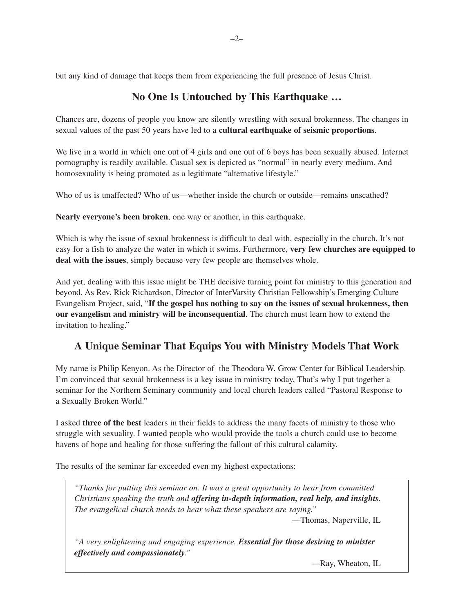but any kind of damage that keeps them from experiencing the full presence of Jesus Christ.

# **No One Is Untouched by This Earthquake …**

Chances are, dozens of people you know are silently wrestling with sexual brokenness. The changes in sexual values of the past 50 years have led to a **cultural earthquake of seismic proportions**.

We live in a world in which one out of 4 girls and one out of 6 boys has been sexually abused. Internet pornography is readily available. Casual sex is depicted as "normal" in nearly every medium. And homosexuality is being promoted as a legitimate "alternative lifestyle."

Who of us is unaffected? Who of us—whether inside the church or outside—remains unscathed?

**Nearly everyone's been broken**, one way or another, in this earthquake.

Which is why the issue of sexual brokenness is difficult to deal with, especially in the church. It's not easy for a fish to analyze the water in which it swims. Furthermore, **very few churches are equipped to deal with the issues**, simply because very few people are themselves whole.

And yet, dealing with this issue might be THE decisive turning point for ministry to this generation and beyond. As Rev. Rick Richardson, Director of InterVarsity Christian Fellowship's Emerging Culture Evangelism Project, said, "**If the gospel has nothing to say on the issues of sexual brokenness, then our evangelism and ministry will be inconsequential**. The church must learn how to extend the invitation to healing."

#### **A Unique Seminar That Equips You with Ministry Models That Work**

My name is Philip Kenyon. As the Director of the Theodora W. Grow Center for Biblical Leadership. I'm convinced that sexual brokenness is a key issue in ministry today, That's why I put together a seminar for the Northern Seminary community and local church leaders called "Pastoral Response to a Sexually Broken World."

I asked **three of the best** leaders in their fields to address the many facets of ministry to those who struggle with sexuality. I wanted people who would provide the tools a church could use to become havens of hope and healing for those suffering the fallout of this cultural calamity.

The results of the seminar far exceeded even my highest expectations:

*"Thanks for putting this seminar on. It was a great opportunity to hear from committed Christians speaking the truth and offering in-depth information, real help, and insights. The evangelical church needs to hear what these speakers are saying."*

—Thomas, Naperville, IL

*"A very enlightening and engaging experience. Essential for those desiring to minister effectively and compassionately."*

—Ray, Wheaton, IL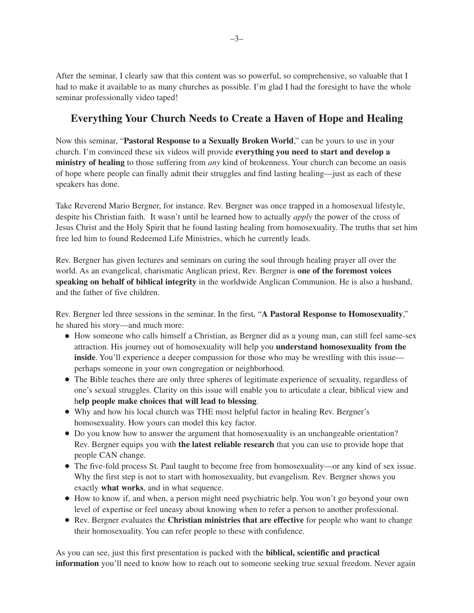After the seminar, I clearly saw that this content was so powerful, so comprehensive, so valuable that I had to make it available to as many churches as possible. I'm glad I had the foresight to have the whole seminar professionally video taped!

## **Everything Your Church Needs to Create a Haven of Hope and Healing**

Now this seminar, "**Pastoral Response to a Sexually Broken World**," can be yours to use in your church. I'm convinced these six videos will provide **everything you need to start and develop a ministry of healing** to those suffering from *any* kind of brokenness. Your church can become an oasis of hope where people can finally admit their struggles and find lasting healing—just as each of these speakers has done.

Take Reverend Mario Bergner, for instance. Rev. Bergner was once trapped in a homosexual lifestyle, despite his Christian faith. It wasn't until he learned how to actually *apply* the power of the cross of Jesus Christ and the Holy Spirit that he found lasting healing from homosexuality. The truths that set him free led him to found Redeemed Life Ministries, which he currently leads.

Rev. Bergner has given lectures and seminars on curing the soul through healing prayer all over the world. As an evangelical, charismatic Anglican priest, Rev. Bergner is **one of the foremost voices speaking on behalf of biblical integrity** in the worldwide Anglican Communion. He is also a husband, and the father of five children.

Rev. Bergner led three sessions in the seminar. In the first, "**A Pastoral Response to Homosexuality**," he shared his story—and much more:

- How someone who calls himself a Christian, as Bergner did as a young man, can still feel same-sex attraction. His journey out of homosexuality will help you **understand homosexuality from the inside**. You'll experience a deeper compassion for those who may be wrestling with this issue perhaps someone in your own congregation or neighborhood.
- The Bible teaches there are only three spheres of legitimate experience of sexuality, regardless of one's sexual struggles. Clarity on this issue will enable you to articulate a clear, biblical view and h**elp people make choices that will lead to blessing**.
- Why and how his local church was THE most helpful factor in healing Rev. Bergner's homosexuality. How yours can model this key factor.
- Do you know how to answer the argument that homosexuality is an unchangeable orientation? Rev. Bergner equips you with **the latest reliable research** that you can use to provide hope that people CAN change.
- The five-fold process St. Paul taught to become free from homosexuality—or any kind of sex issue. Why the first step is not to start with homosexuality, but evangelism. Rev. Bergner shows you exactly **what works**, and in what sequence.
- How to know if, and when, a person might need psychiatric help. You won't go beyond your own level of expertise or feel uneasy about knowing when to refer a person to another professional.
- Rev. Bergner evaluates the **Christian ministries that are effective** for people who want to change their homosexuality. You can refer people to these with confidence.

As you can see, just this first presentation is packed with the **biblical, scientific and practical information** you'll need to know how to reach out to someone seeking true sexual freedom. Never again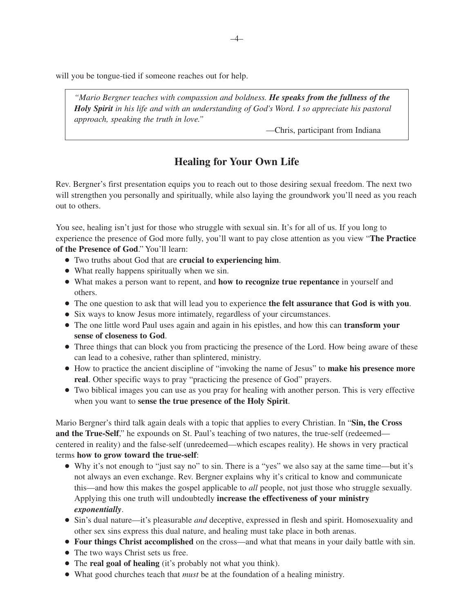will you be tongue-tied if someone reaches out for help.

*"Mario Bergner teaches with compassion and boldness. He speaks from the fullness of the Holy Spirit in his life and with an understanding of God's Word. I so appreciate his pastoral approach, speaking the truth in love."*

—Chris, participant from Indiana

# **Healing for Your Own Life**

Rev. Bergner's first presentation equips you to reach out to those desiring sexual freedom. The next two will strengthen you personally and spiritually, while also laying the groundwork you'll need as you reach out to others.

You see, healing isn't just for those who struggle with sexual sin. It's for all of us. If you long to experience the presence of God more fully, you'll want to pay close attention as you view "**The Practice of the Presence of God**." You'll learn:

- Two truths about God that are **crucial to experiencing him**.
- What really happens spiritually when we sin.
- What makes a person want to repent, and **how to recognize true repentance** in yourself and others.
- The one question to ask that will lead you to experience **the felt assurance that God is with you**.
- Six ways to know Jesus more intimately, regardless of your circumstances.
- The one little word Paul uses again and again in his epistles, and how this can **transform your sense of closeness to God**.
- Three things that can block you from practicing the presence of the Lord. How being aware of these can lead to a cohesive, rather than splintered, ministry.
- How to practice the ancient discipline of "invoking the name of Jesus" to **make his presence more real**. Other specific ways to pray "practicing the presence of God" prayers.
- Two biblical images you can use as you pray for healing with another person. This is very effective when you want to **sense the true presence of the Holy Spirit**.

Mario Bergner's third talk again deals with a topic that applies to every Christian. In "**Sin, the Cross** and the True-Self," he expounds on St. Paul's teaching of two natures, the true-self (redeemed centered in reality) and the false-self (unredeemed—which escapes reality). He shows in very practical terms **how to grow toward the true-self**:

- Why it's not enough to "just say no" to sin. There is a "yes" we also say at the same time—but it's not always an even exchange. Rev. Bergner explains why it's critical to know and communicate this—and how this makes the gospel applicable to *all* people, not just those who struggle sexually. Applying this one truth will undoubtedly **increase the effectiveness of your ministry** *exponentially*.
- Sin's dual nature—it's pleasurable *and* deceptive, expressed in flesh and spirit. Homosexuality and other sex sins express this dual nature, and healing must take place in both arenas.
- **Four things Christ accomplished** on the cross—and what that means in your daily battle with sin.
- The two ways Christ sets us free.
- The **real goal of healing** (it's probably not what you think).
- What good churches teach that *must* be at the foundation of a healing ministry.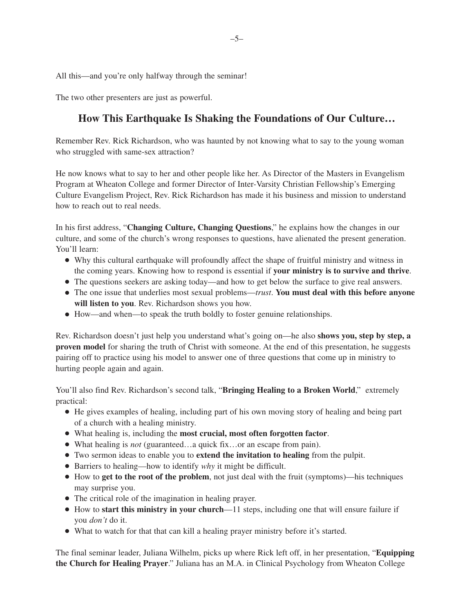All this—and you're only halfway through the seminar!

The two other presenters are just as powerful.

# **How This Earthquake Is Shaking the Foundations of Our Culture…**

Remember Rev. Rick Richardson, who was haunted by not knowing what to say to the young woman who struggled with same-sex attraction?

He now knows what to say to her and other people like her. As Director of the Masters in Evangelism Program at Wheaton College and former Director of Inter-Varsity Christian Fellowship's Emerging Culture Evangelism Project, Rev. Rick Richardson has made it his business and mission to understand how to reach out to real needs.

In his first address, "**Changing Culture, Changing Questions**," he explains how the changes in our culture, and some of the church's wrong responses to questions, have alienated the present generation. You'll learn:

- Why this cultural earthquake will profoundly affect the shape of fruitful ministry and witness in the coming years. Knowing how to respond is essential if **your ministry is to survive and thrive**.
- The questions seekers are asking today—and how to get below the surface to give real answers.
- The one issue that underlies most sexual problems—*trust*. **You must deal with this before anyone will listen to you**. Rev. Richardson shows you how.
- How—and when—to speak the truth boldly to foster genuine relationships.

Rev. Richardson doesn't just help you understand what's going on—he also **shows you, step by step, a proven model** for sharing the truth of Christ with someone. At the end of this presentation, he suggests pairing off to practice using his model to answer one of three questions that come up in ministry to hurting people again and again.

You'll also find Rev. Richardson's second talk, "**Bringing Healing to a Broken World**," extremely practical:

- He gives examples of healing, including part of his own moving story of healing and being part of a church with a healing ministry.
- What healing is, including the **most crucial, most often forgotten factor**.
- What healing is *not* (guaranteed…a quick fix…or an escape from pain).
- Two sermon ideas to enable you to **extend the invitation to healing** from the pulpit.
- Barriers to healing—how to identify *why* it might be difficult.
- How to **get to the root of the problem**, not just deal with the fruit (symptoms)—his techniques may surprise you.
- The critical role of the imagination in healing prayer.
- How to **start this ministry in your church**—11 steps, including one that will ensure failure if you *don't* do it.
- What to watch for that that can kill a healing prayer ministry before it's started.

The final seminar leader, Juliana Wilhelm, picks up where Rick left off, in her presentation, "**Equipping the Church for Healing Prayer**." Juliana has an M.A. in Clinical Psychology from Wheaton College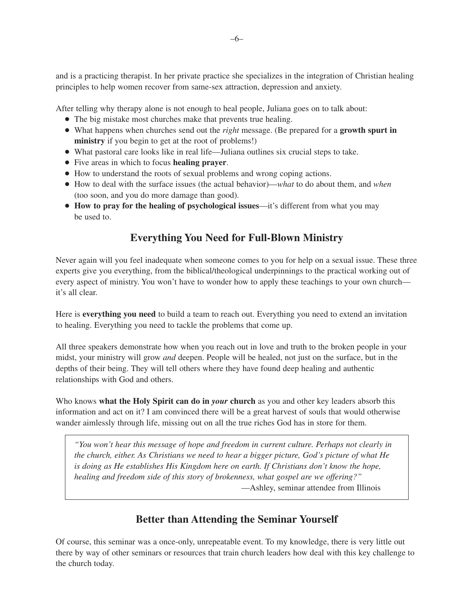and is a practicing therapist. In her private practice she specializes in the integration of Christian healing principles to help women recover from same-sex attraction, depression and anxiety.

After telling why therapy alone is not enough to heal people, Juliana goes on to talk about:

- The big mistake most churches make that prevents true healing.
- What happens when churches send out the *right* message. (Be prepared for a **growth spurt in ministry** if you begin to get at the root of problems!)
- What pastoral care looks like in real life—Juliana outlines six crucial steps to take.
- Five areas in which to focus **healing prayer**.
- How to understand the roots of sexual problems and wrong coping actions.
- How to deal with the surface issues (the actual behavior)—*what* to do about them, and *when* (too soon, and you do more damage than good).
- **How to pray for the healing of psychological issues**—it's different from what you may be used to.

## **Everything You Need for Full-Blown Ministry**

Never again will you feel inadequate when someone comes to you for help on a sexual issue. These three experts give you everything, from the biblical/theological underpinnings to the practical working out of every aspect of ministry. You won't have to wonder how to apply these teachings to your own church it's all clear.

Here is **everything you need** to build a team to reach out. Everything you need to extend an invitation to healing. Everything you need to tackle the problems that come up.

All three speakers demonstrate how when you reach out in love and truth to the broken people in your midst, your ministry will grow *and* deepen. People will be healed, not just on the surface, but in the depths of their being. They will tell others where they have found deep healing and authentic relationships with God and others.

Who knows **what the Holy Spirit can do in** *your* **church** as you and other key leaders absorb this information and act on it? I am convinced there will be a great harvest of souls that would otherwise wander aimlessly through life, missing out on all the true riches God has in store for them.

*"You won't hear this message of hope and freedom in current culture. Perhaps not clearly in the church, either. As Christians we need to hear a bigger picture, God's picture of what He is doing as He establishes His Kingdom here on earth. If Christians don't know the hope, healing and freedom side of this story of brokenness, what gospel are we offering?"* —Ashley, seminar attendee from Illinois

#### **Better than Attending the Seminar Yourself**

Of course, this seminar was a once-only, unrepeatable event. To my knowledge, there is very little out there by way of other seminars or resources that train church leaders how deal with this key challenge to the church today.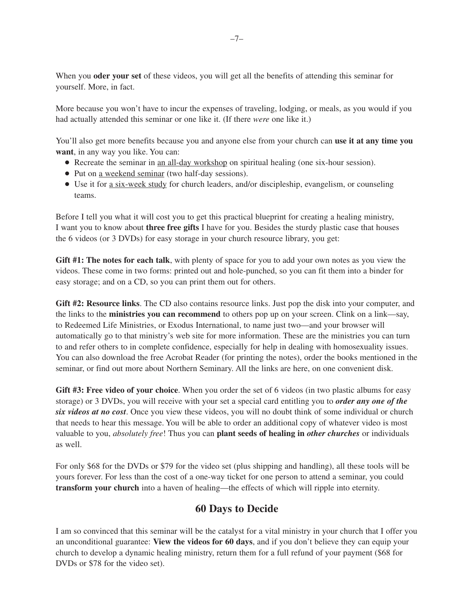When you **oder your set** of these videos, you will get all the benefits of attending this seminar for yourself. More, in fact.

More because you won't have to incur the expenses of traveling, lodging, or meals, as you would if you had actually attended this seminar or one like it. (If there *were* one like it.)

You'll also get more benefits because you and anyone else from your church can **use it at any time you want**, in any way you like. You can:

- Recreate the seminar in an all-day workshop on spiritual healing (one six-hour session).
- Put on a weekend seminar (two half-day sessions).
- Use it for <u>a six-week study</u> for church leaders, and/or discipleship, evangelism, or counseling teams.

Before I tell you what it will cost you to get this practical blueprint for creating a healing ministry, I want you to know about **three free gifts** I have for you. Besides the sturdy plastic case that houses the 6 videos (or 3 DVDs) for easy storage in your church resource library, you get:

**Gift #1: The notes for each talk**, with plenty of space for you to add your own notes as you view the videos. These come in two forms: printed out and hole-punched, so you can fit them into a binder for easy storage; and on a CD, so you can print them out for others.

**Gift #2: Resource links**. The CD also contains resource links. Just pop the disk into your computer, and the links to the **ministries you can recommend** to others pop up on your screen. Clink on a link—say, to Redeemed Life Ministries, or Exodus International, to name just two—and your browser will automatically go to that ministry's web site for more information. These are the ministries you can turn to and refer others to in complete confidence, especially for help in dealing with homosexuality issues. You can also download the free Acrobat Reader (for printing the notes), order the books mentioned in the seminar, or find out more about Northern Seminary. All the links are here, on one convenient disk.

**Gift #3: Free video of your choice**. When you order the set of 6 videos (in two plastic albums for easy storage) or 3 DVDs, you will receive with your set a special card entitling you to *order any one of the six videos at no cost*. Once you view these videos, you will no doubt think of some individual or church that needs to hear this message. You will be able to order an additional copy of whatever video is most valuable to you, *absolutely free*! Thus you can **plant seeds of healing in** *other churches* or individuals as well.

For only \$68 for the DVDs or \$79 for the video set (plus shipping and handling), all these tools will be yours forever. For less than the cost of a one-way ticket for one person to attend a seminar, you could **transform your church** into a haven of healing—the effects of which will ripple into eternity.

#### **60 Days to Decide**

I am so convinced that this seminar will be the catalyst for a vital ministry in your church that I offer you an unconditional guarantee: **View the videos for 60 days**, and if you don't believe they can equip your church to develop a dynamic healing ministry, return them for a full refund of your payment (\$68 for DVDs or \$78 for the video set).